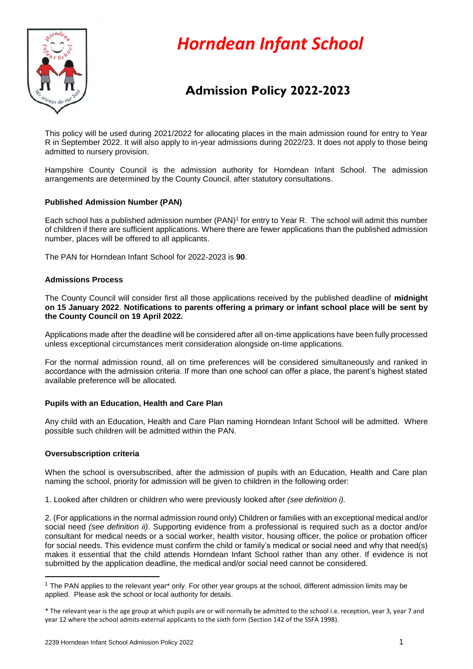

# *Horndean Infant School*

# **Admission Policy 2022-2023**

This policy will be used during 2021/2022 for allocating places in the main admission round for entry to Year R in September 2022. It will also apply to in-year admissions during 2022/23. It does not apply to those being admitted to nursery provision.

Hampshire County Council is the admission authority for Horndean Infant School. The admission arrangements are determined by the County Council, after statutory consultations.

# **Published Admission Number (PAN)**

Each school has a published admission number (PAN)<sup>1</sup> for entry to Year R. The school will admit this number of children if there are sufficient applications. Where there are fewer applications than the published admission number, places will be offered to all applicants.

The PAN for Horndean Infant School for 2022-2023 is **90**.

#### **Admissions Process**

The County Council will consider first all those applications received by the published deadline of **midnight on 15 January 2022**. **Notifications to parents offering a primary or infant school place will be sent by the County Council on 19 April 2022.**

Applications made after the deadline will be considered after all on-time applications have been fully processed unless exceptional circumstances merit consideration alongside on-time applications.

For the normal admission round, all on time preferences will be considered simultaneously and ranked in accordance with the admission criteria. If more than one school can offer a place, the parent's highest stated available preference will be allocated.

# **Pupils with an Education, Health and Care Plan**

Any child with an Education, Health and Care Plan naming Horndean Infant School will be admitted. Where possible such children will be admitted within the PAN.

#### **Oversubscription criteria**

**.** 

When the school is oversubscribed, after the admission of pupils with an Education, Health and Care plan naming the school, priority for admission will be given to children in the following order:

1. Looked after children or children who were previously looked after *(see definition i).* 

2. (For applications in the normal admission round only) Children or families with an exceptional medical and/or social need *(see definition ii)*. Supporting evidence from a professional is required such as a doctor and/or consultant for medical needs or a social worker, health visitor, housing officer, the police or probation officer for social needs. This evidence must confirm the child or family's medical or social need and why that need(s) makes it essential that the child attends Horndean Infant School rather than any other. If evidence is not submitted by the application deadline, the medical and/or social need cannot be considered.

<sup>1</sup> The PAN applies to the relevant year\* only. For other year groups at the school, different admission limits may be applied. Please ask the school or local authority for details.

<sup>\*</sup> The relevant year is the age group at which pupils are or will normally be admitted to the school i.e. reception, year 3, year 7 and year 12 where the school admits external applicants to the sixth form (Section 142 of the SSFA 1998).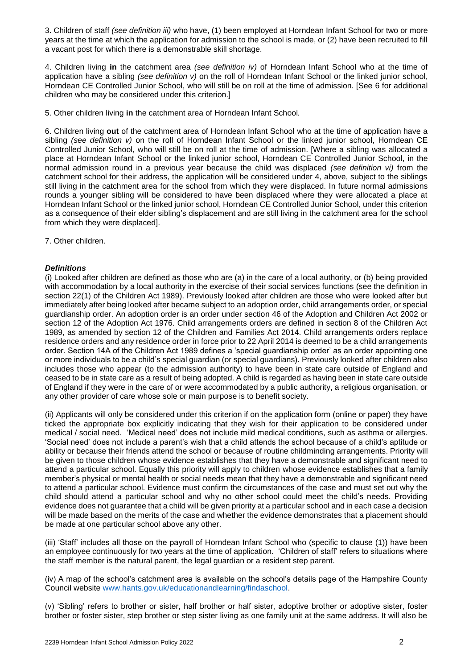3. Children of staff *(see definition iii)* who have, (1) been employed at Horndean Infant School for two or more years at the time at which the application for admission to the school is made, or (2) have been recruited to fill a vacant post for which there is a demonstrable skill shortage.

4. Children living **in** the catchment area *(see definition iv)* of Horndean Infant School who at the time of application have a sibling *(see definition v)* on the roll of Horndean Infant School or the linked junior school, Horndean CE Controlled Junior School, who will still be on roll at the time of admission. [See 6 for additional children who may be considered under this criterion.]

5. Other children living **in** the catchment area of Horndean Infant School*.*

6. Children living **out** of the catchment area of Horndean Infant School who at the time of application have a sibling *(see definition v)* on the roll of Horndean Infant School or the linked junior school, Horndean CE Controlled Junior School, who will still be on roll at the time of admission. [Where a sibling was allocated a place at Horndean Infant School or the linked junior school, Horndean CE Controlled Junior School, in the normal admission round in a previous year because the child was displaced *(see definition vi)* from the catchment school for their address, the application will be considered under 4, above, subject to the siblings still living in the catchment area for the school from which they were displaced. In future normal admissions rounds a younger sibling will be considered to have been displaced where they were allocated a place at Horndean Infant School or the linked junior school, Horndean CE Controlled Junior School, under this criterion as a consequence of their elder sibling's displacement and are still living in the catchment area for the school from which they were displaced].

7. Other children.

#### *Definitions*

(i) Looked after children are defined as those who are (a) in the care of a local authority, or (b) being provided with accommodation by a local authority in the exercise of their social services functions (see the definition in section 22(1) of the Children Act 1989). Previously looked after children are those who were looked after but immediately after being looked after became subject to an adoption order, child arrangements order, or special guardianship order. An adoption order is an order under section 46 of the Adoption and Children Act 2002 or section 12 of the Adoption Act 1976. Child arrangements orders are defined in section 8 of the Children Act 1989, as amended by section 12 of the Children and Families Act 2014. Child arrangements orders replace residence orders and any residence order in force prior to 22 April 2014 is deemed to be a child arrangements order. Section 14A of the Children Act 1989 defines a 'special guardianship order' as an order appointing one or more individuals to be a child's special guardian (or special guardians). Previously looked after children also includes those who appear (to the admission authority) to have been in state care outside of England and ceased to be in state care as a result of being adopted. A child is regarded as having been in state care outside of England if they were in the care of or were accommodated by a public authority, a religious organisation, or any other provider of care whose sole or main purpose is to benefit society.

(ii) Applicants will only be considered under this criterion if on the application form (online or paper) they have ticked the appropriate box explicitly indicating that they wish for their application to be considered under medical / social need. 'Medical need' does not include mild medical conditions, such as asthma or allergies. 'Social need' does not include a parent's wish that a child attends the school because of a child's aptitude or ability or because their friends attend the school or because of routine childminding arrangements. Priority will be given to those children whose evidence establishes that they have a demonstrable and significant need to attend a particular school. Equally this priority will apply to children whose evidence establishes that a family member's physical or mental health or social needs mean that they have a demonstrable and significant need to attend a particular school. Evidence must confirm the circumstances of the case and must set out why the child should attend a particular school and why no other school could meet the child's needs. Providing evidence does not guarantee that a child will be given priority at a particular school and in each case a decision will be made based on the merits of the case and whether the evidence demonstrates that a placement should be made at one particular school above any other.

(iii) 'Staff' includes all those on the payroll of Horndean Infant School who (specific to clause (1)) have been an employee continuously for two years at the time of application. 'Children of staff' refers to situations where the staff member is the natural parent, the legal guardian or a resident step parent.

(iv) A map of the school's catchment area is available on the school's details page of the Hampshire County Council website [www.hants.gov.uk/educationandlearning/findaschool.](http://www.hants.gov.uk/educationandlearning/findaschool)

(v) 'Sibling' refers to brother or sister, half brother or half sister, adoptive brother or adoptive sister, foster brother or foster sister, step brother or step sister living as one family unit at the same address. It will also be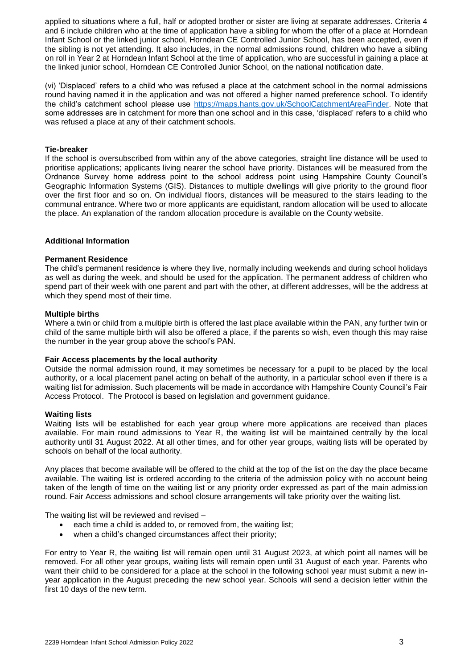applied to situations where a full, half or adopted brother or sister are living at separate addresses. Criteria 4 and 6 include children who at the time of application have a sibling for whom the offer of a place at Horndean Infant School or the linked junior school, Horndean CE Controlled Junior School, has been accepted, even if the sibling is not yet attending. It also includes, in the normal admissions round, children who have a sibling on roll in Year 2 at Horndean Infant School at the time of application, who are successful in gaining a place at the linked junior school, Horndean CE Controlled Junior School, on the national notification date.

(vi) 'Displaced' refers to a child who was refused a place at the catchment school in the normal admissions round having named it in the application and was not offered a higher named preference school. To identify the child's catchment school please use [https://maps.hants.gov.uk/SchoolCatchmentAreaFinder.](https://maps.hants.gov.uk/SchoolCatchmentAreaFinder/) Note that some addresses are in catchment for more than one school and in this case, 'displaced' refers to a child who was refused a place at any of their catchment schools.

#### **Tie-breaker**

If the school is oversubscribed from within any of the above categories, straight line distance will be used to prioritise applications; applicants living nearer the school have priority. Distances will be measured from the Ordnance Survey home address point to the school address point using Hampshire County Council's Geographic Information Systems (GIS). Distances to multiple dwellings will give priority to the ground floor over the first floor and so on. On individual floors, distances will be measured to the stairs leading to the communal entrance. Where two or more applicants are equidistant, random allocation will be used to allocate the place. An explanation of the random allocation procedure is available on the County website.

#### **Additional Information**

#### **Permanent Residence**

The child's permanent residence is where they live, normally including weekends and during school holidays as well as during the week, and should be used for the application. The permanent address of children who spend part of their week with one parent and part with the other, at different addresses, will be the address at which they spend most of their time.

#### **Multiple births**

Where a twin or child from a multiple birth is offered the last place available within the PAN, any further twin or child of the same multiple birth will also be offered a place, if the parents so wish, even though this may raise the number in the year group above the school's PAN.

#### **Fair Access placements by the local authority**

Outside the normal admission round, it may sometimes be necessary for a pupil to be placed by the local authority, or a local placement panel acting on behalf of the authority, in a particular school even if there is a waiting list for admission. Such placements will be made in accordance with Hampshire County Council's Fair Access Protocol. The Protocol is based on legislation and government guidance.

#### **Waiting lists**

Waiting lists will be established for each year group where more applications are received than places available. For main round admissions to Year R, the waiting list will be maintained centrally by the local authority until 31 August 2022. At all other times, and for other year groups, waiting lists will be operated by schools on behalf of the local authority.

Any places that become available will be offered to the child at the top of the list on the day the place became available. The waiting list is ordered according to the criteria of the admission policy with no account being taken of the length of time on the waiting list or any priority order expressed as part of the main admission round. Fair Access admissions and school closure arrangements will take priority over the waiting list.

The waiting list will be reviewed and revised –

- each time a child is added to, or removed from, the waiting list;
- when a child's changed circumstances affect their priority;

For entry to Year R, the waiting list will remain open until 31 August 2023, at which point all names will be removed. For all other year groups, waiting lists will remain open until 31 August of each year. Parents who want their child to be considered for a place at the school in the following school year must submit a new inyear application in the August preceding the new school year. Schools will send a decision letter within the first 10 days of the new term.